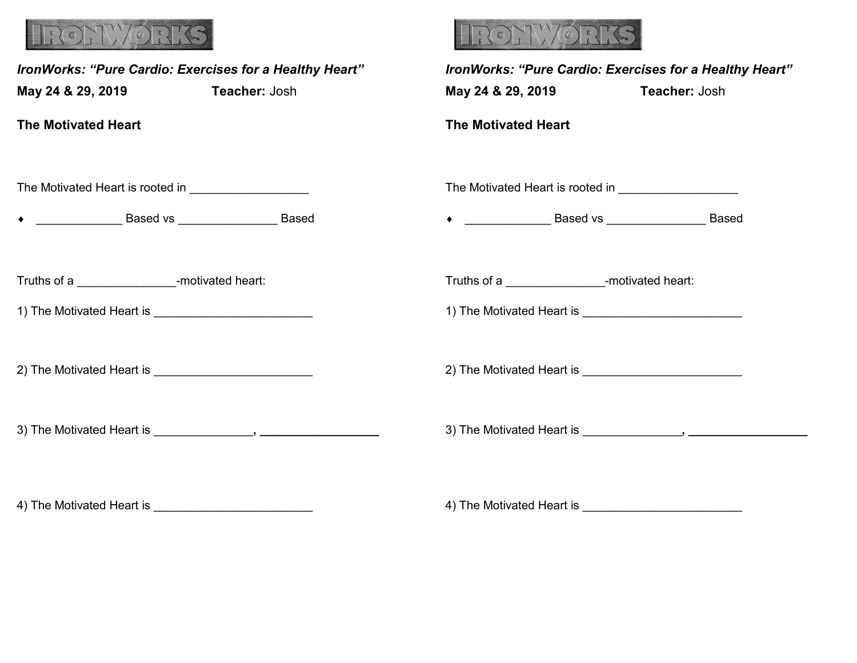

| IronWorks: "Pure Cardio: Exercises for a Healthy Heart"<br>May 24 & 29, 2019 Teacher: Josh |  | IronWorks: "Pure Cardio: Exercises for a Healthy Heart"<br>May 24 & 29, 2019 | Teacher: Josh |
|--------------------------------------------------------------------------------------------|--|------------------------------------------------------------------------------|---------------|
| <b>The Motivated Heart</b>                                                                 |  | <b>The Motivated Heart</b>                                                   |               |
| The Motivated Heart is rooted in ______________________                                    |  |                                                                              |               |
|                                                                                            |  | • <u>_________________</u> Based vs ____________________ Based               |               |
| Truths of a _______________________-motivated heart:                                       |  | Truths of a _______________________-motivated heart:                         |               |
|                                                                                            |  |                                                                              |               |
|                                                                                            |  |                                                                              |               |
|                                                                                            |  |                                                                              |               |

4) The Motivated Heart is \_\_\_\_\_\_\_\_\_\_\_\_\_\_\_\_\_\_\_\_\_\_\_\_

4) The Motivated Heart is \_\_\_\_\_\_\_\_\_\_\_\_\_\_\_\_\_\_\_\_\_\_\_\_

WORKS

 $\binom{1}{1}$